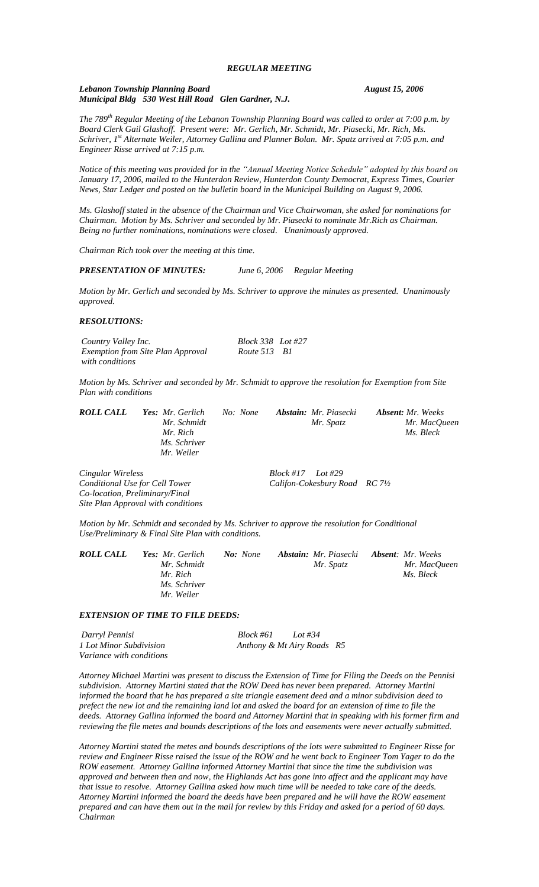*Lebanon Township Planning Board August 15, 2006 Municipal Bldg 530 West Hill Road Glen Gardner, N.J.*

*The 789th Regular Meeting of the Lebanon Township Planning Board was called to order at 7:00 p.m. by Board Clerk Gail Glashoff. Present were: Mr. Gerlich, Mr. Schmidt, Mr. Piasecki, Mr. Rich, Ms. Schriver, 1st Alternate Weiler, Attorney Gallina and Planner Bolan. Mr. Spatz arrived at 7:05 p.m. and Engineer Risse arrived at 7:15 p.m.*

*Notice of this meeting was provided for in the "Annual Meeting Notice Schedule" adopted by this board on January 17, 2006, mailed to the Hunterdon Review, Hunterdon County Democrat, Express Times, Courier News, Star Ledger and posted on the bulletin board in the Municipal Building on August 9, 2006.*

*Ms. Glashoff stated in the absence of the Chairman and Vice Chairwoman, she asked for nominations for Chairman. Motion by Ms. Schriver and seconded by Mr. Piasecki to nominate Mr.Rich as Chairman. Being no further nominations, nominations were closed. Unanimously approved.*

*Chairman Rich took over the meeting at this time.*

*PRESENTATION OF MINUTES: June 6, 2006 Regular Meeting*

*Motion by Mr. Gerlich and seconded by Ms. Schriver to approve the minutes as presented. Unanimously approved.*

#### *RESOLUTIONS:*

*Country Valley Inc. Block 338 Lot #27 Exemption from Site Plan Approval Route 513 B1 with conditions*

*Motion by Ms. Schriver and seconded by Mr. Schmidt to approve the resolution for Exemption from Site Plan with conditions*

| ROLL CALL | Yes: Mr. Gerlich | No: None | <b>Abstain:</b> Mr. Piasecki | <b>Absent:</b> Mr. Weeks |
|-----------|------------------|----------|------------------------------|--------------------------|
|           | Mr. Schmidt      |          | Mr. Spatz                    | Mr. MacOueen             |
|           | Mr. Rich         |          |                              | Ms. Bleck                |
|           | Ms. Schriver     |          |                              |                          |
|           | Mr. Weiler       |          |                              |                          |
|           |                  |          |                              |                          |

*Cingular Wireless Block #17 Lot #29 Conditional Use for Cell Tower Califon-Cokesbury Road RC 7½ Co-location, Preliminary/Final Site Plan Approval with conditions*

*Motion by Mr. Schmidt and seconded by Ms. Schriver to approve the resolution for Conditional Use/Preliminary & Final Site Plan with conditions.*

| <b>ROLL CALL</b> | Yes: Mr. Gerlich | <b>No:</b> None | <b>Abstain:</b> Mr. Piasecki <b>Absent</b> : Mr. Weeks |              |
|------------------|------------------|-----------------|--------------------------------------------------------|--------------|
|                  | Mr. Schmidt      |                 | Mr. Spatz                                              | Mr. MacOueen |
|                  | Mr. Rich         |                 |                                                        | Ms. Bleck    |
|                  | Ms. Schriver     |                 |                                                        |              |
|                  | Mr. Weiler       |                 |                                                        |              |

#### *EXTENSION OF TIME TO FILE DEEDS:*

| Darryl Pennisi           | Block #61                  | Lot #34 |  |
|--------------------------|----------------------------|---------|--|
| 1 Lot Minor Subdivision  | Anthony & Mt Airy Roads R5 |         |  |
| Variance with conditions |                            |         |  |

*Attorney Michael Martini was present to discuss the Extension of Time for Filing the Deeds on the Pennisi subdivision. Attorney Martini stated that the ROW Deed has never been prepared. Attorney Martini informed the board that he has prepared a site triangle easement deed and a minor subdivision deed to prefect the new lot and the remaining land lot and asked the board for an extension of time to file the deeds. Attorney Gallina informed the board and Attorney Martini that in speaking with his former firm and reviewing the file metes and bounds descriptions of the lots and easements were never actually submitted.*

*Attorney Martini stated the metes and bounds descriptions of the lots were submitted to Engineer Risse for review and Engineer Risse raised the issue of the ROW and he went back to Engineer Tom Yager to do the ROW easement. Attorney Gallina informed Attorney Martini that since the time the subdivision was approved and between then and now, the Highlands Act has gone into affect and the applicant may have that issue to resolve. Attorney Gallina asked how much time will be needed to take care of the deeds. Attorney Martini informed the board the deeds have been prepared and he will have the ROW easement prepared and can have them out in the mail for review by this Friday and asked for a period of 60 days. Chairman*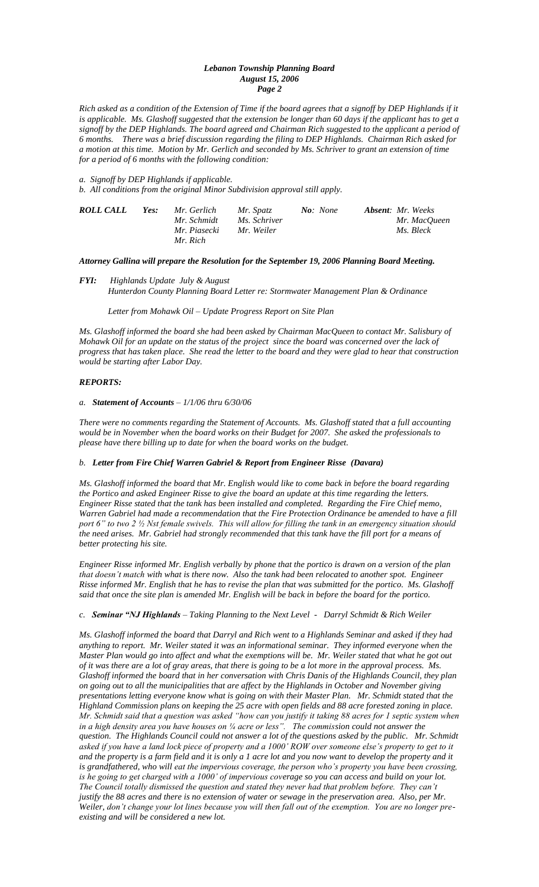### *Lebanon Township Planning Board August 15, 2006 Page 2*

*Rich asked as a condition of the Extension of Time if the board agrees that a signoff by DEP Highlands if it is applicable. Ms. Glashoff suggested that the extension be longer than 60 days if the applicant has to get a signoff by the DEP Highlands. The board agreed and Chairman Rich suggested to the applicant a period of 6 months. There was a brief discussion regarding the filing to DEP Highlands. Chairman Rich asked for a motion at this time. Motion by Mr. Gerlich and seconded by Ms. Schriver to grant an extension of time for a period of 6 months with the following condition:*

*a. Signoff by DEP Highlands if applicable. b. All conditions from the original Minor Subdivision approval still apply.*

| ROLL CALL | Yes: | Mr. Gerlich<br>Mr. Schmidt<br>Mr. Piasecki | Mr. Spatz<br>Ms. Schriver<br>Mr. Weiler | No: None | <b>Absent:</b> Mr. Weeks<br>Mr. MacOueen<br>Ms. Bleck |
|-----------|------|--------------------------------------------|-----------------------------------------|----------|-------------------------------------------------------|
|           |      | Mr. Rich                                   |                                         |          |                                                       |

# *Attorney Gallina will prepare the Resolution for the September 19, 2006 Planning Board Meeting.*

## *FYI: Highlands Update July & August Hunterdon County Planning Board Letter re: Stormwater Management Plan & Ordinance*

 *Letter from Mohawk Oil – Update Progress Report on Site Plan*

*Ms. Glashoff informed the board she had been asked by Chairman MacQueen to contact Mr. Salisbury of Mohawk Oil for an update on the status of the project since the board was concerned over the lack of progress that has taken place. She read the letter to the board and they were glad to hear that construction would be starting after Labor Day.*

### *REPORTS:*

#### *a. Statement of Accounts – 1/1/06 thru 6/30/06*

*There were no comments regarding the Statement of Accounts. Ms. Glashoff stated that a full accounting would be in November when the board works on their Budget for 2007. She asked the professionals to please have there billing up to date for when the board works on the budget.*

## *b. Letter from Fire Chief Warren Gabriel & Report from Engineer Risse (Davara)*

*Ms. Glashoff informed the board that Mr. English would like to come back in before the board regarding the Portico and asked Engineer Risse to give the board an update at this time regarding the letters. Engineer Risse stated that the tank has been installed and completed. Regarding the Fire Chief memo, Warren Gabriel had made a recommendation that the Fire Protection Ordinance be amended to have a fill port 6" to two 2 ½ Nst female swivels. This will allow for filling the tank in an emergency situation should the need arises. Mr. Gabriel had strongly recommended that this tank have the fill port for a means of better protecting his site.* 

*Engineer Risse informed Mr. English verbally by phone that the portico is drawn on a version of the plan that doesn't match with what is there now. Also the tank had been relocated to another spot. Engineer Risse informed Mr. English that he has to revise the plan that was submitted for the portico. Ms. Glashoff said that once the site plan is amended Mr. English will be back in before the board for the portico.*

## *c. Seminar "NJ Highlands – Taking Planning to the Next Level - Darryl Schmidt & Rich Weiler*

*Ms. Glashoff informed the board that Darryl and Rich went to a Highlands Seminar and asked if they had anything to report. Mr. Weiler stated it was an informational seminar. They informed everyone when the Master Plan would go into affect and what the exemptions will be. Mr. Weiler stated that what he got out of it was there are a lot of gray areas, that there is going to be a lot more in the approval process. Ms. Glashoff informed the board that in her conversation with Chris Danis of the Highlands Council, they plan on going out to all the municipalities that are affect by the Highlands in October and November giving presentations letting everyone know what is going on with their Master Plan. Mr. Schmidt stated that the Highland Commission plans on keeping the 25 acre with open fields and 88 acre forested zoning in place. Mr. Schmidt said that a question was asked "how can you justify it taking 88 acres for 1 septic system when in a high density area you have houses on ¼ acre or less". The commission could not answer the question. The Highlands Council could not answer a lot of the questions asked by the public. Mr. Schmidt*  asked if you have a land lock piece of property and a 1000' ROW over someone else's property to get to it *and the property is a farm field and it is only a 1 acre lot and you now want to develop the property and it is grandfathered, who will eat the impervious coverage, the person who's property you have been crossing, is he going to get charged with a 1000' of impervious coverage so you can access and build on your lot. The Council totally dismissed the question and stated they never had that problem before. They can't justify the 88 acres and there is no extension of water or sewage in the preservation area. Also, per Mr. Weiler, don't change your lot lines because you will then fall out of the exemption. You are no longer preexisting and will be considered a new lot.*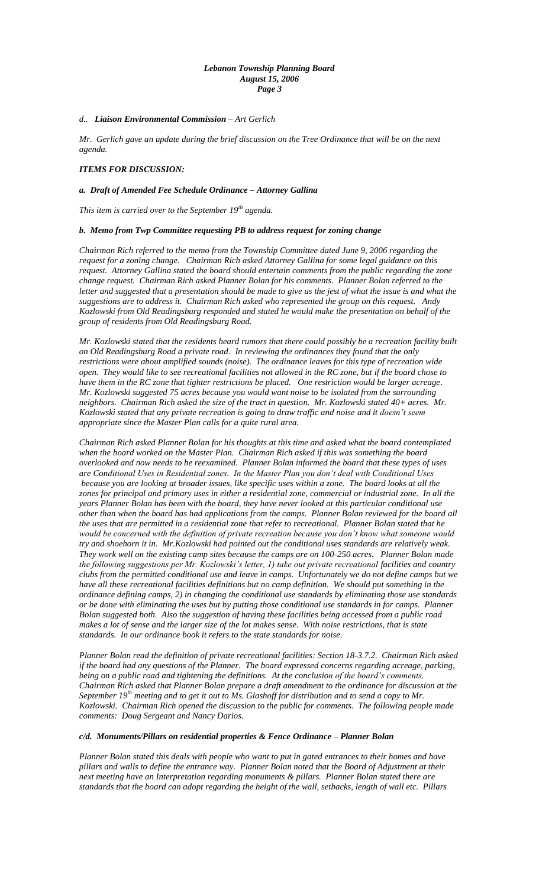### *Lebanon Township Planning Board August 15, 2006 Page 3*

### *d.. Liaison Environmental Commission – Art Gerlich*

*Mr. Gerlich gave an update during the brief discussion on the Tree Ordinance that will be on the next agenda.*

## *ITEMS FOR DISCUSSION:*

### *a. Draft of Amended Fee Schedule Ordinance – Attorney Gallina*

*This item is carried over to the September 19th agenda.*

### *b. Memo from Twp Committee requesting PB to address request for zoning change*

*Chairman Rich referred to the memo from the Township Committee dated June 9, 2006 regarding the request for a zoning change. Chairman Rich asked Attorney Gallina for some legal guidance on this request. Attorney Gallina stated the board should entertain comments from the public regarding the zone change request. Chairman Rich asked Planner Bolan for his comments. Planner Bolan referred to the*  letter and suggested that a presentation should be made to give us the jest of what the issue is and what the *suggestions are to address it. Chairman Rich asked who represented the group on this request. Andy Kozlowski from Old Readingsburg responded and stated he would make the presentation on behalf of the group of residents from Old Readingsburg Road.*

*Mr. Kozlowski stated that the residents heard rumors that there could possibly be a recreation facility built on Old Readingsburg Road a private road. In reviewing the ordinances they found that the only restrictions were about amplified sounds (noise). The ordinance leaves for this type of recreation wide open. They would like to see recreational facilities not allowed in the RC zone, but if the board chose to have them in the RC zone that tighter restrictions be placed. One restriction would be larger acreage. Mr. Kozlowski suggested 75 acres because you would want noise to be isolated from the surrounding neighbors. Chairman Rich asked the size of the tract in question. Mr. Kozlowski stated 40+ acres. Mr. Kozlowski stated that any private recreation is going to draw traffic and noise and it doesn't seem appropriate since the Master Plan calls for a quite rural area.*

*Chairman Rich asked Planner Bolan for his thoughts at this time and asked what the board contemplated when the board worked on the Master Plan. Chairman Rich asked if this was something the board overlooked and now needs to be reexamined. Planner Bolan informed the board that these types of uses are Conditional Uses in Residential zones. In the Master Plan you don't deal with Conditional Uses because you are looking at broader issues, like specific uses within a zone. The board looks at all the zones for principal and primary uses in either a residential zone, commercial or industrial zone. In all the years Planner Bolan has been with the board, they have never looked at this particular conditional use other than when the board has had applications from the camps. Planner Bolan reviewed for the board all the uses that are permitted in a residential zone that refer to recreational. Planner Bolan stated that he would be concerned with the definition of private recreation because you don't know what someone would try and shoehorn it in. Mr.Kozlowski had pointed out the conditional uses standards are relatively weak. They work well on the existing camp sites because the camps are on 100-250 acres. Planner Bolan made the following suggestions per Mr. Kozlowski's letter, 1) take out private recreational facilities and country clubs from the permitted conditional use and leave in camps. Unfortunately we do not define camps but we have all these recreational facilities definitions but no camp definition. We should put something in the ordinance defining camps, 2) in changing the conditional use standards by eliminating those use standards or be done with eliminating the uses but by putting those conditional use standards in for camps. Planner Bolan suggested both. Also the suggestion of having these facilities being accessed from a public road makes a lot of sense and the larger size of the lot makes sense. With noise restrictions, that is state standards. In our ordinance book it refers to the state standards for noise.*

*Planner Bolan read the definition of private recreational facilities: Section 18-3.7.2. Chairman Rich asked if the board had any questions of the Planner. The board expressed concerns regarding acreage, parking, being on a public road and tightening the definitions. At the conclusion of the board's comments, Chairman Rich asked that Planner Bolan prepare a draft amendment to the ordinance for discussion at the September 19th meeting and to get it out to Ms. Glashoff for distribution and to send a copy to Mr. Kozlowski. Chairman Rich opened the discussion to the public for comments. The following people made comments: Doug Sergeant and Nancy Darios.*

#### *c/d. Monuments/Pillars on residential properties & Fence Ordinance – Planner Bolan*

*Planner Bolan stated this deals with people who want to put in gated entrances to their homes and have pillars and walls to define the entrance way. Planner Bolan noted that the Board of Adjustment at their next meeting have an Interpretation regarding monuments & pillars. Planner Bolan stated there are standards that the board can adopt regarding the height of the wall, setbacks, length of wall etc. Pillars*